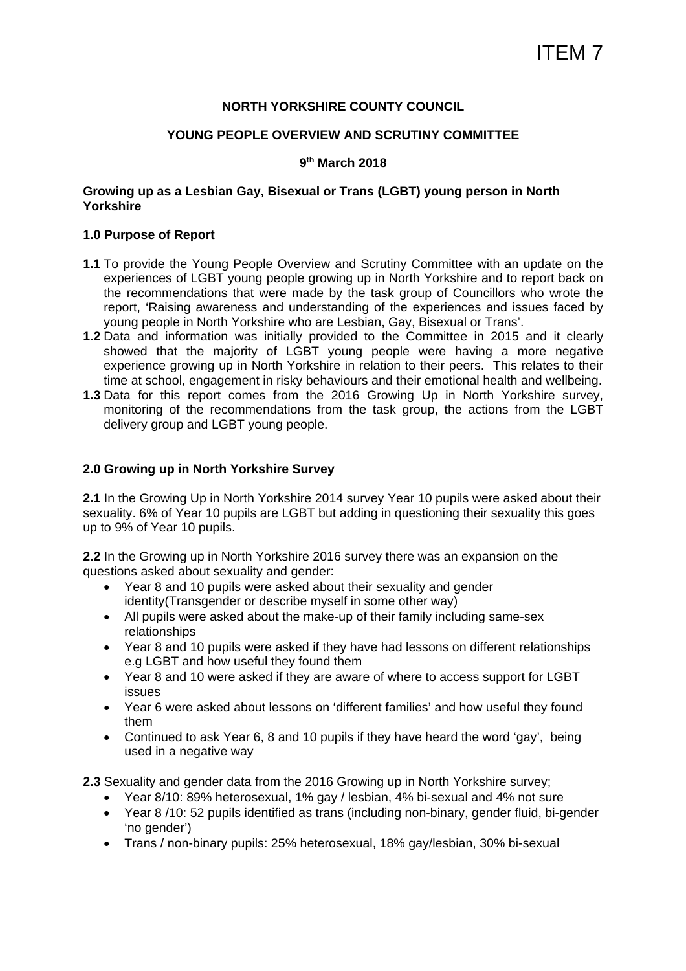#### **NORTH YORKSHIRE COUNTY COUNCIL**

#### **YOUNG PEOPLE OVERVIEW AND SCRUTINY COMMITTEE**

#### **9th March 2018**

#### **Growing up as a Lesbian Gay, Bisexual or Trans (LGBT) young person in North Yorkshire**

#### **1.0 Purpose of Report**

- **1.1** To provide the Young People Overview and Scrutiny Committee with an update on the experiences of LGBT young people growing up in North Yorkshire and to report back on the recommendations that were made by the task group of Councillors who wrote the report, 'Raising awareness and understanding of the experiences and issues faced by young people in North Yorkshire who are Lesbian, Gay, Bisexual or Trans'.
- **1.2** Data and information was initially provided to the Committee in 2015 and it clearly showed that the majority of LGBT young people were having a more negative experience growing up in North Yorkshire in relation to their peers. This relates to their time at school, engagement in risky behaviours and their emotional health and wellbeing.
- **1.3** Data for this report comes from the 2016 Growing Up in North Yorkshire survey, monitoring of the recommendations from the task group, the actions from the LGBT delivery group and LGBT young people.

#### **2.0 Growing up in North Yorkshire Survey**

**2.1** In the Growing Up in North Yorkshire 2014 survey Year 10 pupils were asked about their sexuality. 6% of Year 10 pupils are LGBT but adding in questioning their sexuality this goes up to 9% of Year 10 pupils.

**2.2** In the Growing up in North Yorkshire 2016 survey there was an expansion on the questions asked about sexuality and gender:

- Year 8 and 10 pupils were asked about their sexuality and gender identity(Transgender or describe myself in some other way)
- All pupils were asked about the make-up of their family including same-sex relationships
- Year 8 and 10 pupils were asked if they have had lessons on different relationships e.g LGBT and how useful they found them
- Year 8 and 10 were asked if they are aware of where to access support for LGBT issues
- Year 6 were asked about lessons on 'different families' and how useful they found them
- Continued to ask Year 6, 8 and 10 pupils if they have heard the word 'gay', being used in a negative way

**2.3** Sexuality and gender data from the 2016 Growing up in North Yorkshire survey;

- Year 8/10: 89% heterosexual, 1% gay / lesbian, 4% bi-sexual and 4% not sure
- Year 8 /10: 52 pupils identified as trans (including non-binary, gender fluid, bi-gender 'no gender')
- Trans / non-binary pupils: 25% heterosexual, 18% gay/lesbian, 30% bi-sexual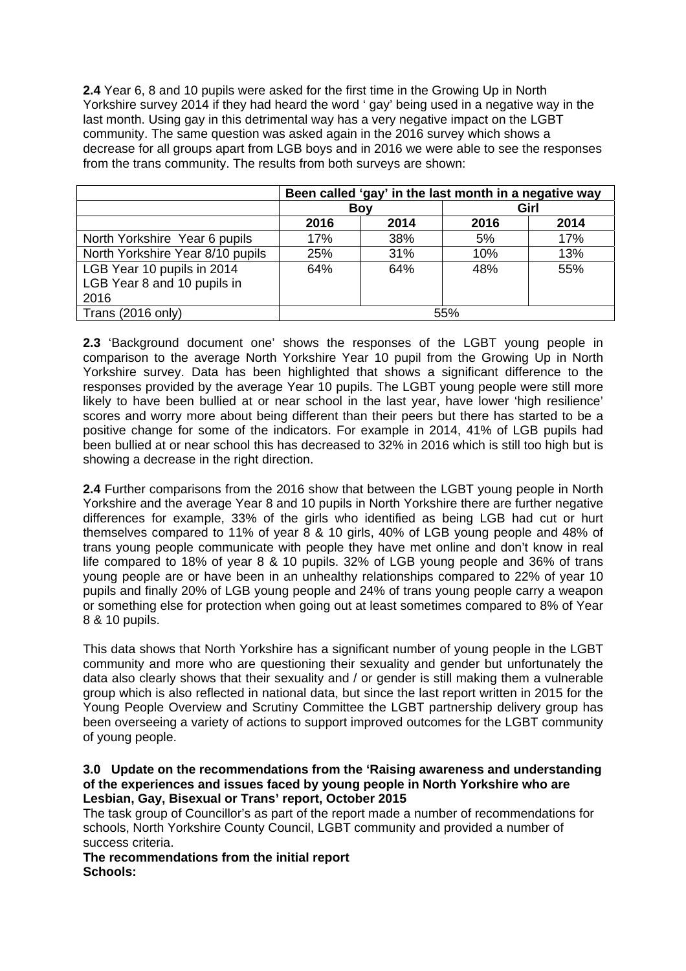**2.4** Year 6, 8 and 10 pupils were asked for the first time in the Growing Up in North Yorkshire survey 2014 if they had heard the word ' gay' being used in a negative way in the last month. Using gay in this detrimental way has a very negative impact on the LGBT community. The same question was asked again in the 2016 survey which shows a decrease for all groups apart from LGB boys and in 2016 we were able to see the responses from the trans community. The results from both surveys are shown:

|                                  |      | Been called 'gay' in the last month in a negative way |      |      |  |
|----------------------------------|------|-------------------------------------------------------|------|------|--|
|                                  |      | Boy                                                   | Girl |      |  |
|                                  | 2016 | 2014                                                  | 2016 | 2014 |  |
| North Yorkshire Year 6 pupils    | 17%  | 38%                                                   | 5%   | 17%  |  |
| North Yorkshire Year 8/10 pupils | 25%  | 31%                                                   | 10%  | 13%  |  |
| LGB Year 10 pupils in 2014       | 64%  | 64%                                                   | 48%  | 55%  |  |
| LGB Year 8 and 10 pupils in      |      |                                                       |      |      |  |
| 2016                             |      |                                                       |      |      |  |
| Trans (2016 only)                |      |                                                       | 55%  |      |  |

**2.3** 'Background document one' shows the responses of the LGBT young people in comparison to the average North Yorkshire Year 10 pupil from the Growing Up in North Yorkshire survey. Data has been highlighted that shows a significant difference to the responses provided by the average Year 10 pupils. The LGBT young people were still more likely to have been bullied at or near school in the last year, have lower 'high resilience' scores and worry more about being different than their peers but there has started to be a positive change for some of the indicators. For example in 2014, 41% of LGB pupils had been bullied at or near school this has decreased to 32% in 2016 which is still too high but is showing a decrease in the right direction.

**2.4** Further comparisons from the 2016 show that between the LGBT young people in North Yorkshire and the average Year 8 and 10 pupils in North Yorkshire there are further negative differences for example, 33% of the girls who identified as being LGB had cut or hurt themselves compared to 11% of year 8 & 10 girls, 40% of LGB young people and 48% of trans young people communicate with people they have met online and don't know in real life compared to 18% of year 8 & 10 pupils. 32% of LGB young people and 36% of trans young people are or have been in an unhealthy relationships compared to 22% of year 10 pupils and finally 20% of LGB young people and 24% of trans young people carry a weapon or something else for protection when going out at least sometimes compared to 8% of Year 8 & 10 pupils.

This data shows that North Yorkshire has a significant number of young people in the LGBT community and more who are questioning their sexuality and gender but unfortunately the data also clearly shows that their sexuality and / or gender is still making them a vulnerable group which is also reflected in national data, but since the last report written in 2015 for the Young People Overview and Scrutiny Committee the LGBT partnership delivery group has been overseeing a variety of actions to support improved outcomes for the LGBT community of young people.

#### **3.0 Update on the recommendations from the 'Raising awareness and understanding of the experiences and issues faced by young people in North Yorkshire who are Lesbian, Gay, Bisexual or Trans' report, October 2015**

The task group of Councillor's as part of the report made a number of recommendations for schools, North Yorkshire County Council, LGBT community and provided a number of success criteria.

**The recommendations from the initial report Schools:**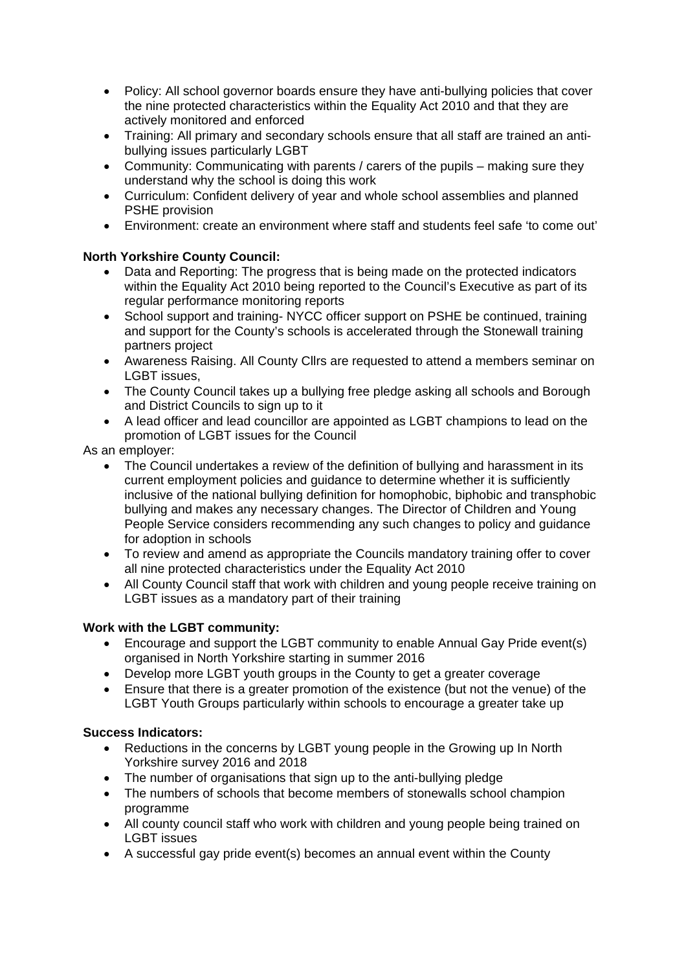- Policy: All school governor boards ensure they have anti-bullying policies that cover the nine protected characteristics within the Equality Act 2010 and that they are actively monitored and enforced
- Training: All primary and secondary schools ensure that all staff are trained an antibullying issues particularly LGBT
- Community: Communicating with parents / carers of the pupils making sure they understand why the school is doing this work
- Curriculum: Confident delivery of year and whole school assemblies and planned PSHE provision
- Environment: create an environment where staff and students feel safe 'to come out'

# **North Yorkshire County Council:**

- Data and Reporting: The progress that is being made on the protected indicators within the Equality Act 2010 being reported to the Council's Executive as part of its regular performance monitoring reports
- School support and training- NYCC officer support on PSHE be continued, training and support for the County's schools is accelerated through the Stonewall training partners project
- Awareness Raising. All County Cllrs are requested to attend a members seminar on LGBT issues,
- The County Council takes up a bullying free pledge asking all schools and Borough and District Councils to sign up to it
- A lead officer and lead councillor are appointed as LGBT champions to lead on the promotion of LGBT issues for the Council

As an employer:

- The Council undertakes a review of the definition of bullying and harassment in its current employment policies and guidance to determine whether it is sufficiently inclusive of the national bullying definition for homophobic, biphobic and transphobic bullying and makes any necessary changes. The Director of Children and Young People Service considers recommending any such changes to policy and guidance for adoption in schools
- To review and amend as appropriate the Councils mandatory training offer to cover all nine protected characteristics under the Equality Act 2010
- All County Council staff that work with children and young people receive training on LGBT issues as a mandatory part of their training

# **Work with the LGBT community:**

- Encourage and support the LGBT community to enable Annual Gay Pride event(s) organised in North Yorkshire starting in summer 2016
- Develop more LGBT youth groups in the County to get a greater coverage
- Ensure that there is a greater promotion of the existence (but not the venue) of the LGBT Youth Groups particularly within schools to encourage a greater take up

# **Success Indicators:**

- Reductions in the concerns by LGBT young people in the Growing up In North Yorkshire survey 2016 and 2018
- The number of organisations that sign up to the anti-bullying pledge
- The numbers of schools that become members of stonewalls school champion programme
- All county council staff who work with children and young people being trained on LGBT issues
- A successful gay pride event(s) becomes an annual event within the County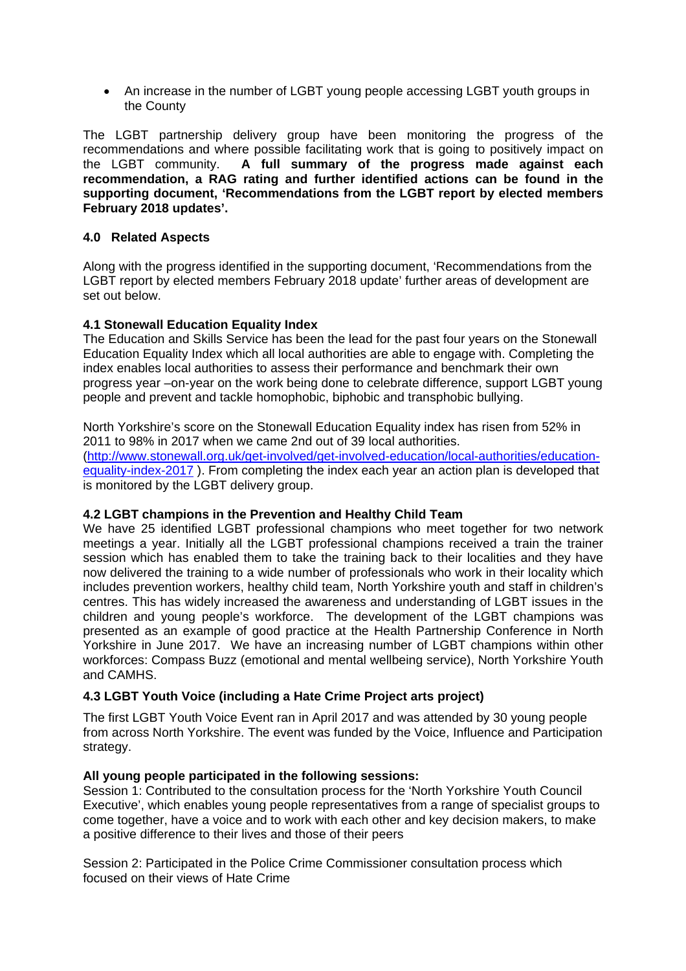• An increase in the number of LGBT young people accessing LGBT youth groups in the County

The LGBT partnership delivery group have been monitoring the progress of the recommendations and where possible facilitating work that is going to positively impact on the LGBT community. **A full summary of the progress made against each recommendation, a RAG rating and further identified actions can be found in the supporting document, 'Recommendations from the LGBT report by elected members February 2018 updates'.**

### **4.0 Related Aspects**

Along with the progress identified in the supporting document, 'Recommendations from the LGBT report by elected members February 2018 update' further areas of development are set out below.

#### **4.1 Stonewall Education Equality Index**

The Education and Skills Service has been the lead for the past four years on the Stonewall Education Equality Index which all local authorities are able to engage with. Completing the index enables local authorities to assess their performance and benchmark their own progress year –on-year on the work being done to celebrate difference, support LGBT young people and prevent and tackle homophobic, biphobic and transphobic bullying.

North Yorkshire's score on the Stonewall Education Equality index has risen from 52% in 2011 to 98% in 2017 when we came 2nd out of 39 local authorities. (http://www.stonewall.org.uk/get-involved/get-involved-education/local-authorities/educationequality-index-2017 ). From completing the index each year an action plan is developed that is monitored by the LGBT delivery group.

#### **4.2 LGBT champions in the Prevention and Healthy Child Team**

We have 25 identified LGBT professional champions who meet together for two network meetings a year. Initially all the LGBT professional champions received a train the trainer session which has enabled them to take the training back to their localities and they have now delivered the training to a wide number of professionals who work in their locality which includes prevention workers, healthy child team, North Yorkshire youth and staff in children's centres. This has widely increased the awareness and understanding of LGBT issues in the children and young people's workforce. The development of the LGBT champions was presented as an example of good practice at the Health Partnership Conference in North Yorkshire in June 2017. We have an increasing number of LGBT champions within other workforces: Compass Buzz (emotional and mental wellbeing service), North Yorkshire Youth and CAMHS.

#### **4.3 LGBT Youth Voice (including a Hate Crime Project arts project)**

The first LGBT Youth Voice Event ran in April 2017 and was attended by 30 young people from across North Yorkshire. The event was funded by the Voice, Influence and Participation strategy.

#### **All young people participated in the following sessions:**

Session 1: Contributed to the consultation process for the 'North Yorkshire Youth Council Executive', which enables young people representatives from a range of specialist groups to come together, have a voice and to work with each other and key decision makers, to make a positive difference to their lives and those of their peers

Session 2: Participated in the Police Crime Commissioner consultation process which focused on their views of Hate Crime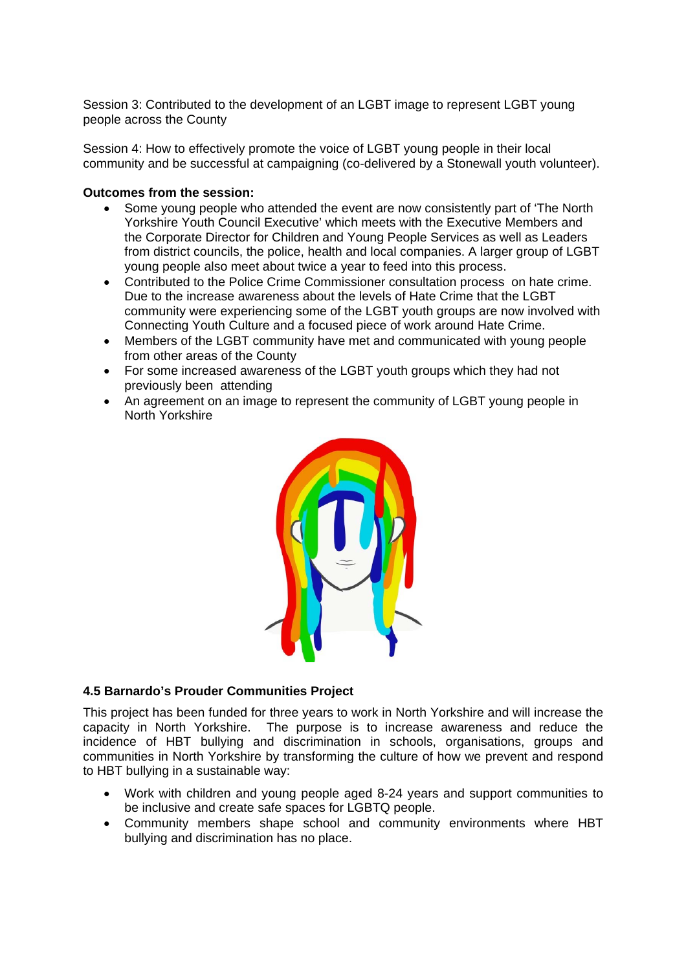Session 3: Contributed to the development of an LGBT image to represent LGBT young people across the County

Session 4: How to effectively promote the voice of LGBT young people in their local community and be successful at campaigning (co-delivered by a Stonewall youth volunteer).

#### **Outcomes from the session:**

- Some young people who attended the event are now consistently part of 'The North Yorkshire Youth Council Executive' which meets with the Executive Members and the Corporate Director for Children and Young People Services as well as Leaders from district councils, the police, health and local companies. A larger group of LGBT young people also meet about twice a year to feed into this process.
- Contributed to the Police Crime Commissioner consultation process on hate crime. Due to the increase awareness about the levels of Hate Crime that the LGBT community were experiencing some of the LGBT youth groups are now involved with Connecting Youth Culture and a focused piece of work around Hate Crime.
- Members of the LGBT community have met and communicated with young people from other areas of the County
- For some increased awareness of the LGBT youth groups which they had not previously been attending
- An agreement on an image to represent the community of LGBT young people in North Yorkshire



#### **4.5 Barnardo's Prouder Communities Project**

This project has been funded for three years to work in North Yorkshire and will increase the capacity in North Yorkshire. The purpose is to increase awareness and reduce the incidence of HBT bullying and discrimination in schools, organisations, groups and communities in North Yorkshire by transforming the culture of how we prevent and respond to HBT bullying in a sustainable way:

- Work with children and young people aged 8-24 years and support communities to be inclusive and create safe spaces for LGBTQ people.
- Community members shape school and community environments where HBT bullying and discrimination has no place.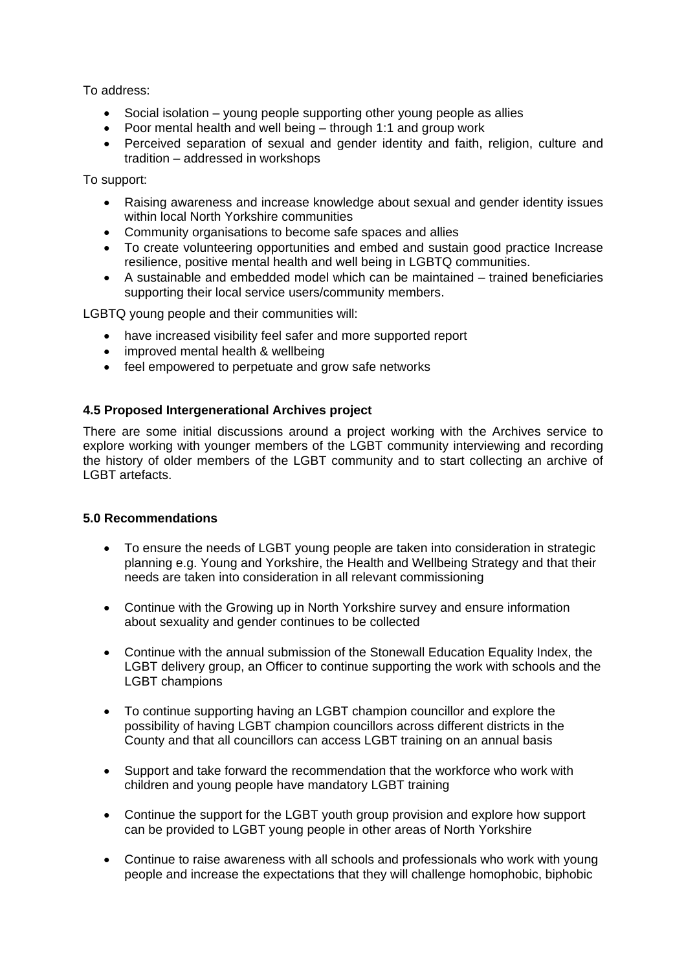To address:

- Social isolation young people supporting other young people as allies
- Poor mental health and well being through 1:1 and group work
- Perceived separation of sexual and gender identity and faith, religion, culture and tradition – addressed in workshops

To support:

- Raising awareness and increase knowledge about sexual and gender identity issues within local North Yorkshire communities
- Community organisations to become safe spaces and allies
- To create volunteering opportunities and embed and sustain good practice Increase resilience, positive mental health and well being in LGBTQ communities.
- A sustainable and embedded model which can be maintained trained beneficiaries supporting their local service users/community members.

LGBTQ young people and their communities will:

- have increased visibility feel safer and more supported report
- improved mental health & wellbeing
- feel empowered to perpetuate and grow safe networks

## **4.5 Proposed Intergenerational Archives project**

There are some initial discussions around a project working with the Archives service to explore working with younger members of the LGBT community interviewing and recording the history of older members of the LGBT community and to start collecting an archive of LGBT artefacts.

#### **5.0 Recommendations**

- To ensure the needs of LGBT young people are taken into consideration in strategic planning e.g. Young and Yorkshire, the Health and Wellbeing Strategy and that their needs are taken into consideration in all relevant commissioning
- Continue with the Growing up in North Yorkshire survey and ensure information about sexuality and gender continues to be collected
- Continue with the annual submission of the Stonewall Education Equality Index, the LGBT delivery group, an Officer to continue supporting the work with schools and the LGBT champions
- To continue supporting having an LGBT champion councillor and explore the possibility of having LGBT champion councillors across different districts in the County and that all councillors can access LGBT training on an annual basis
- Support and take forward the recommendation that the workforce who work with children and young people have mandatory LGBT training
- Continue the support for the LGBT youth group provision and explore how support can be provided to LGBT young people in other areas of North Yorkshire
- Continue to raise awareness with all schools and professionals who work with young people and increase the expectations that they will challenge homophobic, biphobic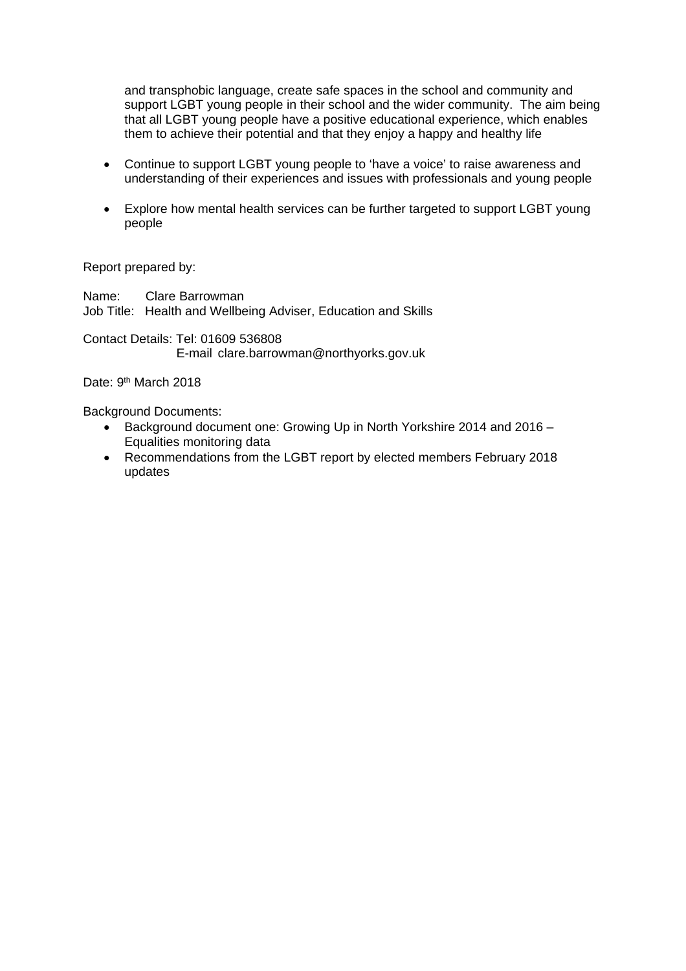and transphobic language, create safe spaces in the school and community and support LGBT young people in their school and the wider community. The aim being that all LGBT young people have a positive educational experience, which enables them to achieve their potential and that they enjoy a happy and healthy life

- Continue to support LGBT young people to 'have a voice' to raise awareness and understanding of their experiences and issues with professionals and young people
- Explore how mental health services can be further targeted to support LGBT young people

Report prepared by:

Name: Clare Barrowman Job Title: Health and Wellbeing Adviser, Education and Skills

Contact Details: Tel: 01609 536808 E-mail clare.barrowman@northyorks.gov.uk

Date: 9<sup>th</sup> March 2018

Background Documents:

- Background document one: Growing Up in North Yorkshire 2014 and 2016 Equalities monitoring data
- Recommendations from the LGBT report by elected members February 2018 updates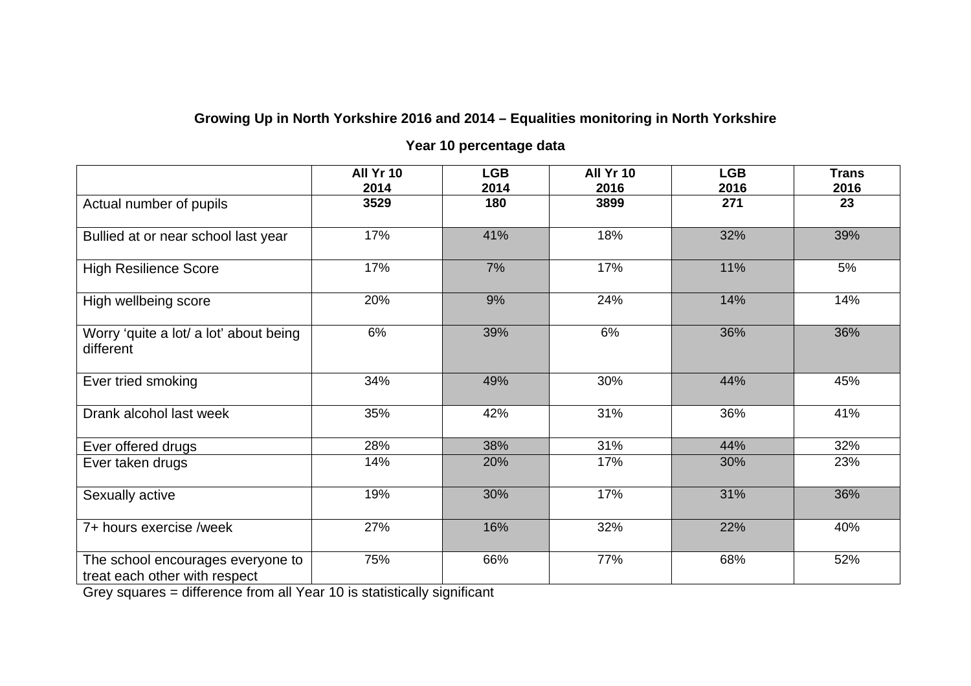# **Growing Up in North Yorkshire 2016 and 2014 – Equalities monitoring in North Yorkshire**

# **Year 10 percentage data**

|                                                                    | All Yr 10<br>2014 | <b>LGB</b><br>2014 | All Yr 10<br>2016 | <b>LGB</b><br>2016 | <b>Trans</b><br>2016 |
|--------------------------------------------------------------------|-------------------|--------------------|-------------------|--------------------|----------------------|
| Actual number of pupils                                            | 3529              | 180                | 3899              | 271                | 23                   |
| Bullied at or near school last year                                | 17%               | 41%                | 18%               | 32%                | 39%                  |
| <b>High Resilience Score</b>                                       | 17%               | 7%                 | 17%               | 11%                | 5%                   |
| High wellbeing score                                               | 20%               | 9%                 | 24%               | 14%                | 14%                  |
| Worry 'quite a lot/ a lot' about being<br>different                | 6%                | 39%                | 6%                | 36%                | 36%                  |
| Ever tried smoking                                                 | 34%               | 49%                | 30%               | 44%                | 45%                  |
| Drank alcohol last week                                            | 35%               | 42%                | 31%               | 36%                | 41%                  |
| Ever offered drugs                                                 | 28%               | 38%                | 31%               | 44%                | 32%                  |
| Ever taken drugs                                                   | 14%               | 20%                | 17%               | 30%                | 23%                  |
| Sexually active                                                    | 19%               | 30%                | 17%               | 31%                | 36%                  |
| 7+ hours exercise /week                                            | 27%               | 16%                | 32%               | 22%                | 40%                  |
| The school encourages everyone to<br>treat each other with respect | 75%               | 66%                | 77%               | 68%                | 52%                  |

Grey squares = difference from all Year 10 is statistically significant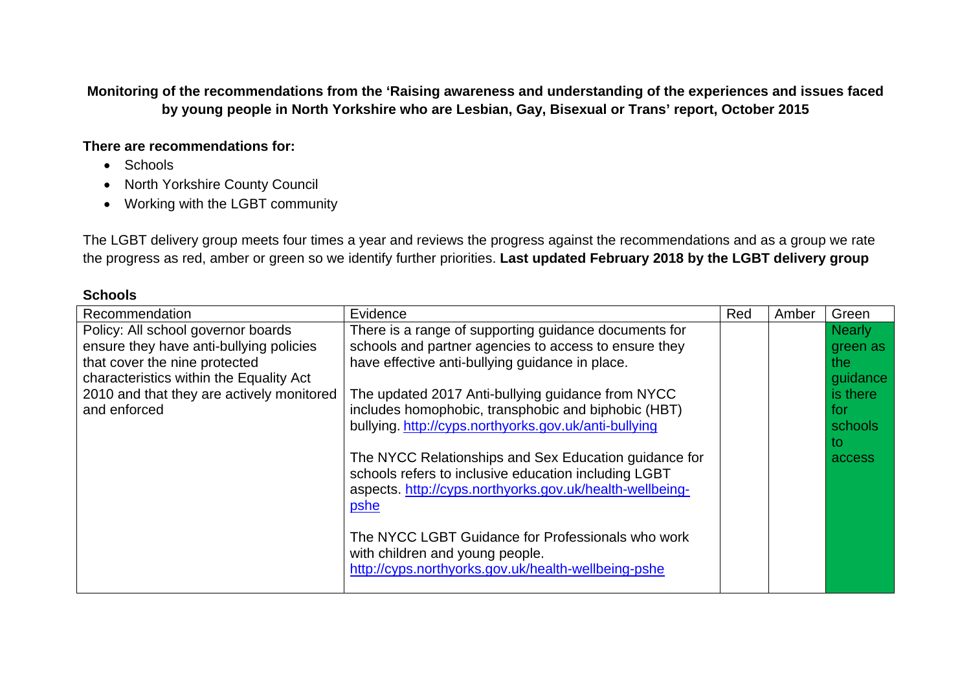**Monitoring of the recommendations from the 'Raising awareness and understanding of the experiences and issues faced by young people in North Yorkshire who are Lesbian, Gay, Bisexual or Trans' report, October 2015** 

## **There are recommendations for:**

- Schools
- North Yorkshire County Council
- Working with the LGBT community

The LGBT delivery group meets four times a year and reviews the progress against the recommendations and as a group we rate the progress as red, amber or green so we identify further priorities. **Last updated February 2018 by the LGBT delivery group** 

## **Schools**

| Recommendation                            | Evidence                                                                                                                                                                          | Red | Amber | Green         |
|-------------------------------------------|-----------------------------------------------------------------------------------------------------------------------------------------------------------------------------------|-----|-------|---------------|
| Policy: All school governor boards        | There is a range of supporting guidance documents for                                                                                                                             |     |       | <b>Nearly</b> |
| ensure they have anti-bullying policies   | schools and partner agencies to access to ensure they                                                                                                                             |     |       | green as      |
| that cover the nine protected             | have effective anti-bullying guidance in place.                                                                                                                                   |     |       | the:          |
| characteristics within the Equality Act   |                                                                                                                                                                                   |     |       | guidance      |
| 2010 and that they are actively monitored | The updated 2017 Anti-bullying guidance from NYCC                                                                                                                                 |     |       | is there      |
| and enforced                              | includes homophobic, transphobic and biphobic (HBT)                                                                                                                               |     |       | for           |
|                                           | bullying. http://cyps.northyorks.gov.uk/anti-bullying                                                                                                                             |     |       | schools       |
|                                           |                                                                                                                                                                                   |     |       | to            |
|                                           | The NYCC Relationships and Sex Education guidance for<br>schools refers to inclusive education including LGBT<br>aspects. http://cyps.northyorks.gov.uk/health-wellbeing-<br>pshe |     |       | access        |
|                                           | The NYCC LGBT Guidance for Professionals who work<br>with children and young people.<br>http://cyps.northyorks.gov.uk/health-wellbeing-pshe                                       |     |       |               |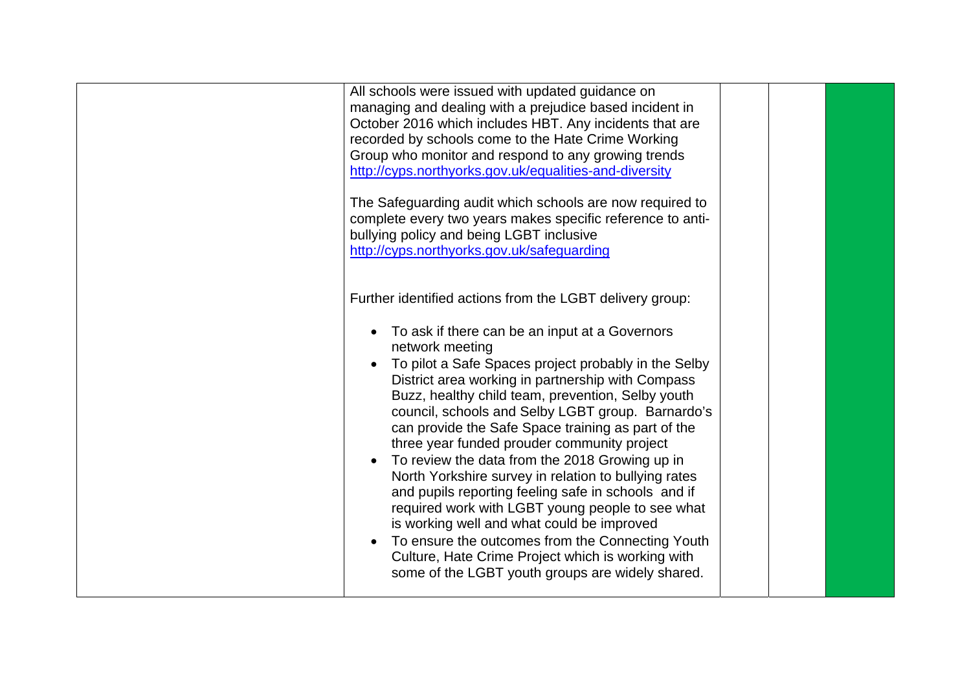| All schools were issued with updated guidance on<br>managing and dealing with a prejudice based incident in<br>October 2016 which includes HBT. Any incidents that are<br>recorded by schools come to the Hate Crime Working<br>Group who monitor and respond to any growing trends<br>http://cyps.northyorks.gov.uk/equalities-and-diversity<br>The Safeguarding audit which schools are now required to<br>complete every two years makes specific reference to anti-<br>bullying policy and being LGBT inclusive<br>http://cyps.northyorks.gov.uk/safeguarding                                                                                                                                                                                                                                                                                                                           |  |
|---------------------------------------------------------------------------------------------------------------------------------------------------------------------------------------------------------------------------------------------------------------------------------------------------------------------------------------------------------------------------------------------------------------------------------------------------------------------------------------------------------------------------------------------------------------------------------------------------------------------------------------------------------------------------------------------------------------------------------------------------------------------------------------------------------------------------------------------------------------------------------------------|--|
| Further identified actions from the LGBT delivery group:<br>• To ask if there can be an input at a Governors<br>network meeting<br>To pilot a Safe Spaces project probably in the Selby<br>District area working in partnership with Compass<br>Buzz, healthy child team, prevention, Selby youth<br>council, schools and Selby LGBT group. Barnardo's<br>can provide the Safe Space training as part of the<br>three year funded prouder community project<br>To review the data from the 2018 Growing up in<br>North Yorkshire survey in relation to bullying rates<br>and pupils reporting feeling safe in schools and if<br>required work with LGBT young people to see what<br>is working well and what could be improved<br>To ensure the outcomes from the Connecting Youth<br>Culture, Hate Crime Project which is working with<br>some of the LGBT youth groups are widely shared. |  |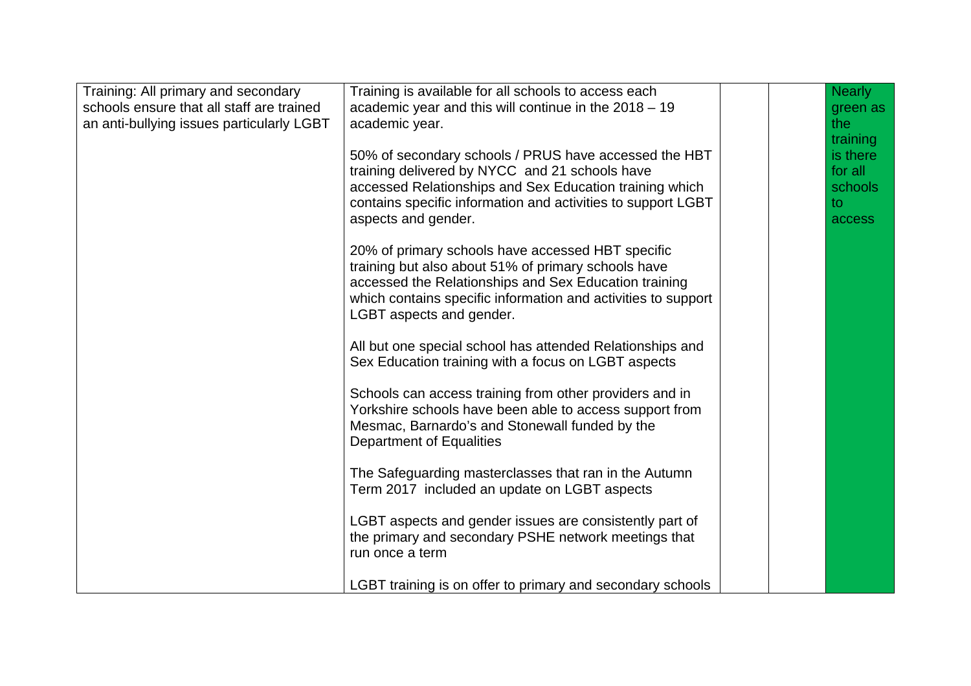| Training: All primary and secondary<br>schools ensure that all staff are trained<br>an anti-bullying issues particularly LGBT | Training is available for all schools to access each<br>academic year and this will continue in the $2018 - 19$<br>academic year.<br>50% of secondary schools / PRUS have accessed the HBT<br>training delivered by NYCC and 21 schools have<br>accessed Relationships and Sex Education training which<br>contains specific information and activities to support LGBT<br>aspects and gender.<br>20% of primary schools have accessed HBT specific<br>training but also about 51% of primary schools have<br>accessed the Relationships and Sex Education training<br>which contains specific information and activities to support<br>LGBT aspects and gender.<br>All but one special school has attended Relationships and<br>Sex Education training with a focus on LGBT aspects<br>Schools can access training from other providers and in<br>Yorkshire schools have been able to access support from<br>Mesmac, Barnardo's and Stonewall funded by the<br><b>Department of Equalities</b> |  | <b>Nearly</b><br>green as<br>the<br>training<br>is there<br>for all<br>schools<br>to<br>access |
|-------------------------------------------------------------------------------------------------------------------------------|-------------------------------------------------------------------------------------------------------------------------------------------------------------------------------------------------------------------------------------------------------------------------------------------------------------------------------------------------------------------------------------------------------------------------------------------------------------------------------------------------------------------------------------------------------------------------------------------------------------------------------------------------------------------------------------------------------------------------------------------------------------------------------------------------------------------------------------------------------------------------------------------------------------------------------------------------------------------------------------------------|--|------------------------------------------------------------------------------------------------|
|                                                                                                                               | The Safeguarding masterclasses that ran in the Autumn<br>Term 2017 included an update on LGBT aspects                                                                                                                                                                                                                                                                                                                                                                                                                                                                                                                                                                                                                                                                                                                                                                                                                                                                                           |  |                                                                                                |
|                                                                                                                               | LGBT aspects and gender issues are consistently part of<br>the primary and secondary PSHE network meetings that<br>run once a term                                                                                                                                                                                                                                                                                                                                                                                                                                                                                                                                                                                                                                                                                                                                                                                                                                                              |  |                                                                                                |
|                                                                                                                               | LGBT training is on offer to primary and secondary schools                                                                                                                                                                                                                                                                                                                                                                                                                                                                                                                                                                                                                                                                                                                                                                                                                                                                                                                                      |  |                                                                                                |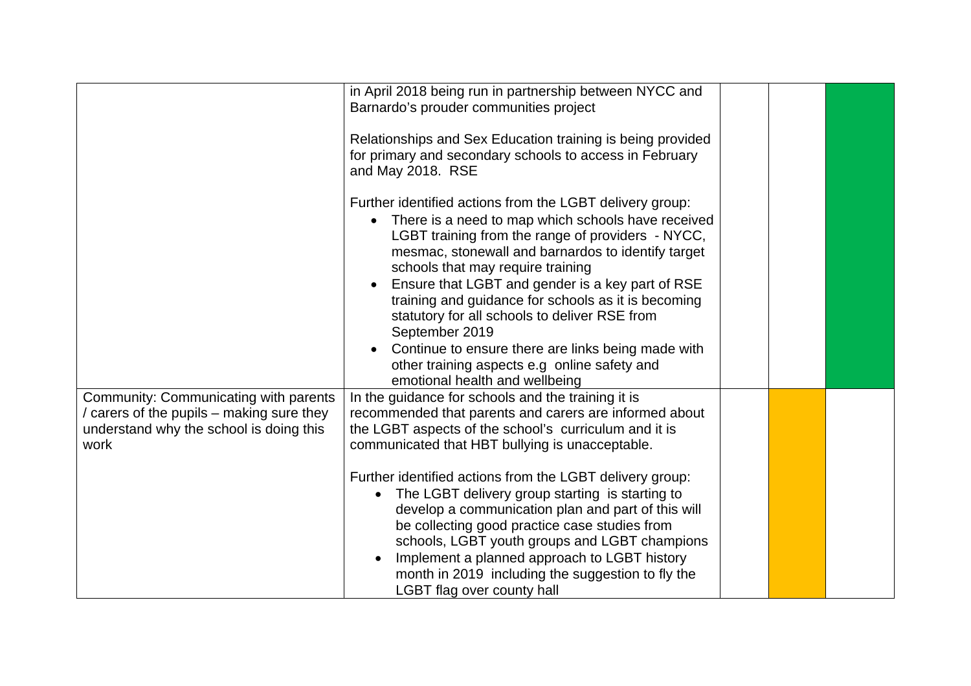|                                                                                                                                       | in April 2018 being run in partnership between NYCC and<br>Barnardo's prouder communities project<br>Relationships and Sex Education training is being provided<br>for primary and secondary schools to access in February<br>and May 2018. RSE<br>Further identified actions from the LGBT delivery group:<br>There is a need to map which schools have received<br>LGBT training from the range of providers - NYCC,<br>mesmac, stonewall and barnardos to identify target<br>schools that may require training<br>Ensure that LGBT and gender is a key part of RSE<br>training and guidance for schools as it is becoming<br>statutory for all schools to deliver RSE from<br>September 2019<br>Continue to ensure there are links being made with<br>other training aspects e.g online safety and<br>emotional health and wellbeing |  |  |
|---------------------------------------------------------------------------------------------------------------------------------------|-----------------------------------------------------------------------------------------------------------------------------------------------------------------------------------------------------------------------------------------------------------------------------------------------------------------------------------------------------------------------------------------------------------------------------------------------------------------------------------------------------------------------------------------------------------------------------------------------------------------------------------------------------------------------------------------------------------------------------------------------------------------------------------------------------------------------------------------|--|--|
| Community: Communicating with parents<br>/ carers of the pupils – making sure they<br>understand why the school is doing this<br>work | In the guidance for schools and the training it is<br>recommended that parents and carers are informed about<br>the LGBT aspects of the school's curriculum and it is<br>communicated that HBT bullying is unacceptable.<br>Further identified actions from the LGBT delivery group:<br>The LGBT delivery group starting is starting to<br>develop a communication plan and part of this will<br>be collecting good practice case studies from<br>schools, LGBT youth groups and LGBT champions<br>Implement a planned approach to LGBT history<br>month in 2019 including the suggestion to fly the<br>LGBT flag over county hall                                                                                                                                                                                                      |  |  |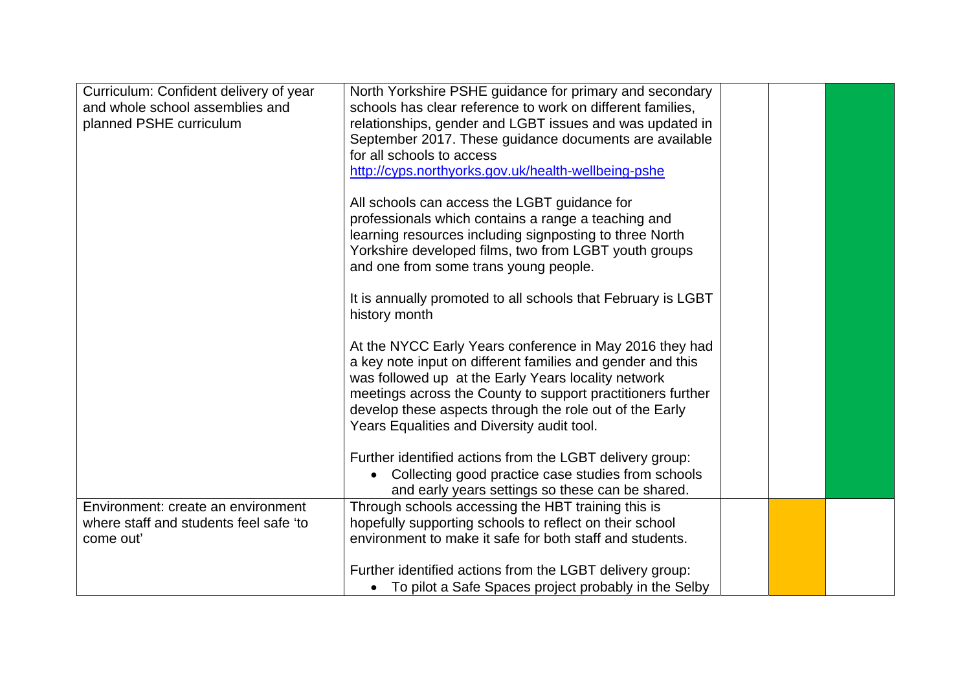| Curriculum: Confident delivery of year | North Yorkshire PSHE guidance for primary and secondary                                                                                                                                                                                     |  |  |
|----------------------------------------|---------------------------------------------------------------------------------------------------------------------------------------------------------------------------------------------------------------------------------------------|--|--|
| and whole school assemblies and        | schools has clear reference to work on different families,                                                                                                                                                                                  |  |  |
| planned PSHE curriculum                | relationships, gender and LGBT issues and was updated in                                                                                                                                                                                    |  |  |
|                                        | September 2017. These guidance documents are available                                                                                                                                                                                      |  |  |
|                                        | for all schools to access                                                                                                                                                                                                                   |  |  |
|                                        | http://cyps.northyorks.gov.uk/health-wellbeing-pshe                                                                                                                                                                                         |  |  |
|                                        | All schools can access the LGBT guidance for                                                                                                                                                                                                |  |  |
|                                        | professionals which contains a range a teaching and                                                                                                                                                                                         |  |  |
|                                        | learning resources including signposting to three North                                                                                                                                                                                     |  |  |
|                                        | Yorkshire developed films, two from LGBT youth groups                                                                                                                                                                                       |  |  |
|                                        | and one from some trans young people.                                                                                                                                                                                                       |  |  |
|                                        | It is annually promoted to all schools that February is LGBT<br>history month                                                                                                                                                               |  |  |
|                                        |                                                                                                                                                                                                                                             |  |  |
|                                        | At the NYCC Early Years conference in May 2016 they had<br>a key note input on different families and gender and this<br>was followed up at the Early Years locality network<br>meetings across the County to support practitioners further |  |  |
|                                        | develop these aspects through the role out of the Early<br>Years Equalities and Diversity audit tool.                                                                                                                                       |  |  |
|                                        |                                                                                                                                                                                                                                             |  |  |
|                                        | Further identified actions from the LGBT delivery group:                                                                                                                                                                                    |  |  |
|                                        | Collecting good practice case studies from schools                                                                                                                                                                                          |  |  |
|                                        | and early years settings so these can be shared.                                                                                                                                                                                            |  |  |
| Environment: create an environment     | Through schools accessing the HBT training this is                                                                                                                                                                                          |  |  |
| where staff and students feel safe 'to | hopefully supporting schools to reflect on their school                                                                                                                                                                                     |  |  |
| come out'                              | environment to make it safe for both staff and students.                                                                                                                                                                                    |  |  |
|                                        |                                                                                                                                                                                                                                             |  |  |
|                                        | Further identified actions from the LGBT delivery group:                                                                                                                                                                                    |  |  |
|                                        | • To pilot a Safe Spaces project probably in the Selby                                                                                                                                                                                      |  |  |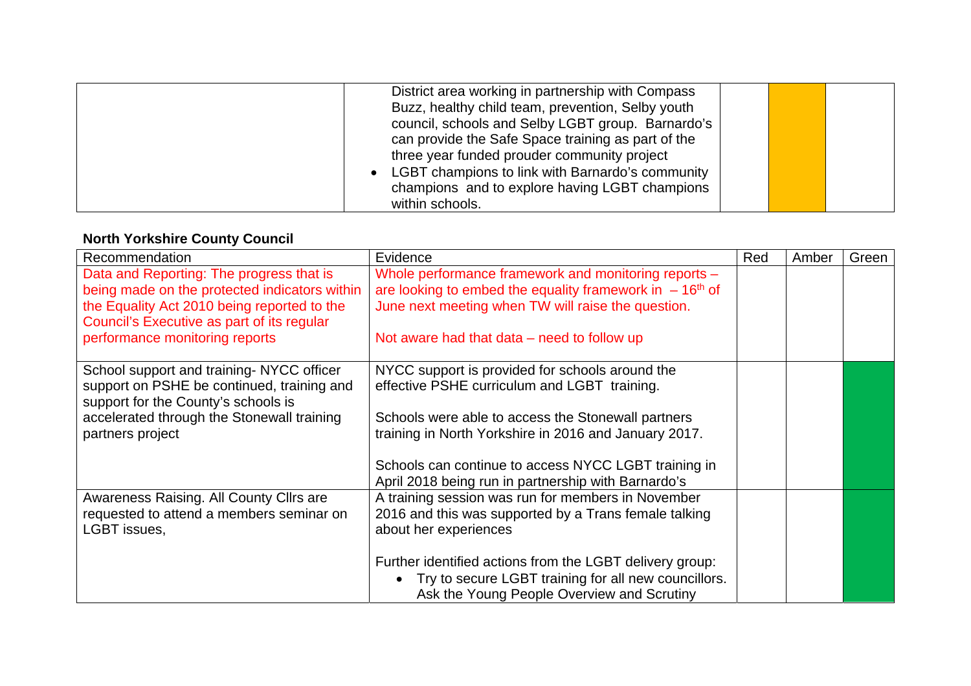| District area working in partnership with Compass<br>Buzz, healthy child team, prevention, Selby youth<br>council, schools and Selby LGBT group. Barnardo's<br>can provide the Safe Space training as part of the |  |  |
|-------------------------------------------------------------------------------------------------------------------------------------------------------------------------------------------------------------------|--|--|
| three year funded prouder community project<br>LGBT champions to link with Barnardo's community<br>champions and to explore having LGBT champions<br>within schools.                                              |  |  |

# **North Yorkshire County Council**

| Recommendation                                | Evidence                                                          | Red | Amber | Green |
|-----------------------------------------------|-------------------------------------------------------------------|-----|-------|-------|
| Data and Reporting: The progress that is      | Whole performance framework and monitoring reports -              |     |       |       |
| being made on the protected indicators within | are looking to embed the equality framework in $-16th$ of         |     |       |       |
| the Equality Act 2010 being reported to the   | June next meeting when TW will raise the question.                |     |       |       |
| Council's Executive as part of its regular    |                                                                   |     |       |       |
| performance monitoring reports                | Not aware had that data $-$ need to follow up                     |     |       |       |
|                                               |                                                                   |     |       |       |
| School support and training-NYCC officer      | NYCC support is provided for schools around the                   |     |       |       |
| support on PSHE be continued, training and    | effective PSHE curriculum and LGBT training.                      |     |       |       |
| support for the County's schools is           |                                                                   |     |       |       |
| accelerated through the Stonewall training    | Schools were able to access the Stonewall partners                |     |       |       |
| partners project                              | training in North Yorkshire in 2016 and January 2017.             |     |       |       |
|                                               |                                                                   |     |       |       |
|                                               | Schools can continue to access NYCC LGBT training in              |     |       |       |
|                                               | April 2018 being run in partnership with Barnardo's               |     |       |       |
| Awareness Raising. All County Cllrs are       | A training session was run for members in November                |     |       |       |
| requested to attend a members seminar on      | 2016 and this was supported by a Trans female talking             |     |       |       |
| LGBT issues,                                  | about her experiences                                             |     |       |       |
|                                               |                                                                   |     |       |       |
|                                               | Further identified actions from the LGBT delivery group:          |     |       |       |
|                                               | Try to secure LGBT training for all new councillors.<br>$\bullet$ |     |       |       |
|                                               | Ask the Young People Overview and Scrutiny                        |     |       |       |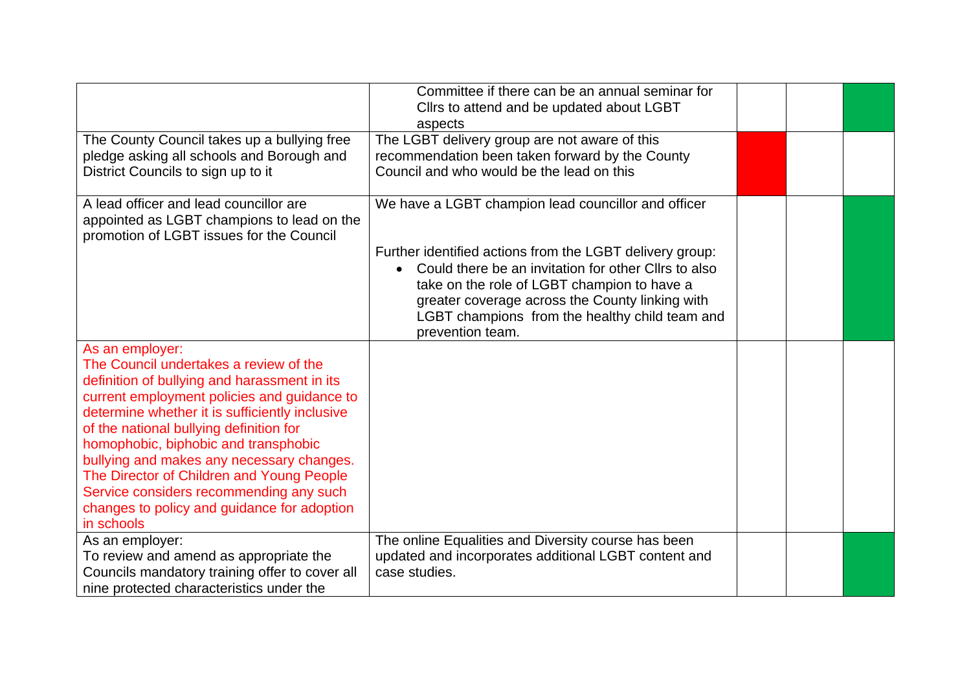|                                                                                                                                                                                                                                                                                                                                                                                                                                                                                                 | Committee if there can be an annual seminar for<br>Cllrs to attend and be updated about LGBT<br>aspects                                                                                                                                                                                  |  |  |
|-------------------------------------------------------------------------------------------------------------------------------------------------------------------------------------------------------------------------------------------------------------------------------------------------------------------------------------------------------------------------------------------------------------------------------------------------------------------------------------------------|------------------------------------------------------------------------------------------------------------------------------------------------------------------------------------------------------------------------------------------------------------------------------------------|--|--|
| The County Council takes up a bullying free<br>pledge asking all schools and Borough and<br>District Councils to sign up to it                                                                                                                                                                                                                                                                                                                                                                  | The LGBT delivery group are not aware of this<br>recommendation been taken forward by the County<br>Council and who would be the lead on this                                                                                                                                            |  |  |
| A lead officer and lead councillor are<br>appointed as LGBT champions to lead on the<br>promotion of LGBT issues for the Council                                                                                                                                                                                                                                                                                                                                                                | We have a LGBT champion lead councillor and officer                                                                                                                                                                                                                                      |  |  |
|                                                                                                                                                                                                                                                                                                                                                                                                                                                                                                 | Further identified actions from the LGBT delivery group:<br>Could there be an invitation for other Cllrs to also<br>take on the role of LGBT champion to have a<br>greater coverage across the County linking with<br>LGBT champions from the healthy child team and<br>prevention team. |  |  |
| As an employer:<br>The Council undertakes a review of the<br>definition of bullying and harassment in its<br>current employment policies and guidance to<br>determine whether it is sufficiently inclusive<br>of the national bullying definition for<br>homophobic, biphobic and transphobic<br>bullying and makes any necessary changes.<br>The Director of Children and Young People<br>Service considers recommending any such<br>changes to policy and guidance for adoption<br>in schools |                                                                                                                                                                                                                                                                                          |  |  |
| As an employer:<br>To review and amend as appropriate the<br>Councils mandatory training offer to cover all<br>nine protected characteristics under the                                                                                                                                                                                                                                                                                                                                         | The online Equalities and Diversity course has been<br>updated and incorporates additional LGBT content and<br>case studies.                                                                                                                                                             |  |  |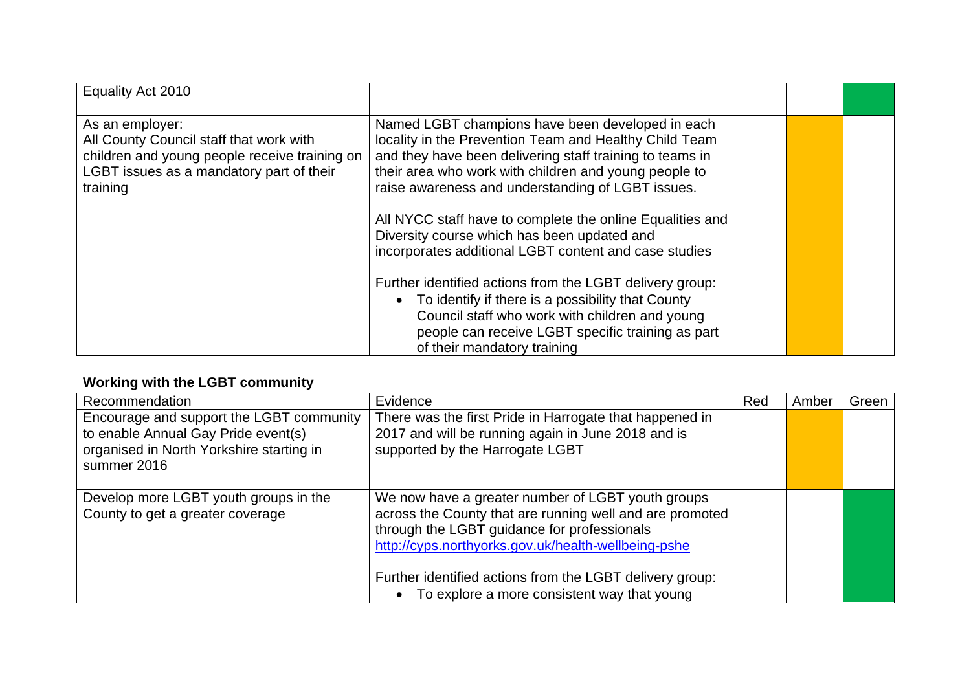| Equality Act 2010                                                                                                                                                   |                                                                                                                                                                                                                                                                                      |  |  |
|---------------------------------------------------------------------------------------------------------------------------------------------------------------------|--------------------------------------------------------------------------------------------------------------------------------------------------------------------------------------------------------------------------------------------------------------------------------------|--|--|
| As an employer:<br>All County Council staff that work with<br>children and young people receive training on<br>LGBT issues as a mandatory part of their<br>training | Named LGBT champions have been developed in each<br>locality in the Prevention Team and Healthy Child Team<br>and they have been delivering staff training to teams in<br>their area who work with children and young people to<br>raise awareness and understanding of LGBT issues. |  |  |
|                                                                                                                                                                     | All NYCC staff have to complete the online Equalities and<br>Diversity course which has been updated and<br>incorporates additional LGBT content and case studies                                                                                                                    |  |  |
|                                                                                                                                                                     | Further identified actions from the LGBT delivery group:<br>• To identify if there is a possibility that County<br>Council staff who work with children and young<br>people can receive LGBT specific training as part<br>of their mandatory training                                |  |  |

# **Working with the LGBT community**

| Recommendation                                                                                                                             | Evidence                                                                                                                                                                                                                                                                                                                                    | Red | Amber | Green |
|--------------------------------------------------------------------------------------------------------------------------------------------|---------------------------------------------------------------------------------------------------------------------------------------------------------------------------------------------------------------------------------------------------------------------------------------------------------------------------------------------|-----|-------|-------|
| Encourage and support the LGBT community<br>to enable Annual Gay Pride event(s)<br>organised in North Yorkshire starting in<br>summer 2016 | There was the first Pride in Harrogate that happened in<br>2017 and will be running again in June 2018 and is<br>supported by the Harrogate LGBT                                                                                                                                                                                            |     |       |       |
| Develop more LGBT youth groups in the<br>County to get a greater coverage                                                                  | We now have a greater number of LGBT youth groups<br>across the County that are running well and are promoted<br>through the LGBT guidance for professionals<br>http://cyps.northyorks.gov.uk/health-wellbeing-pshe<br>Further identified actions from the LGBT delivery group:<br>To explore a more consistent way that young<br>$\bullet$ |     |       |       |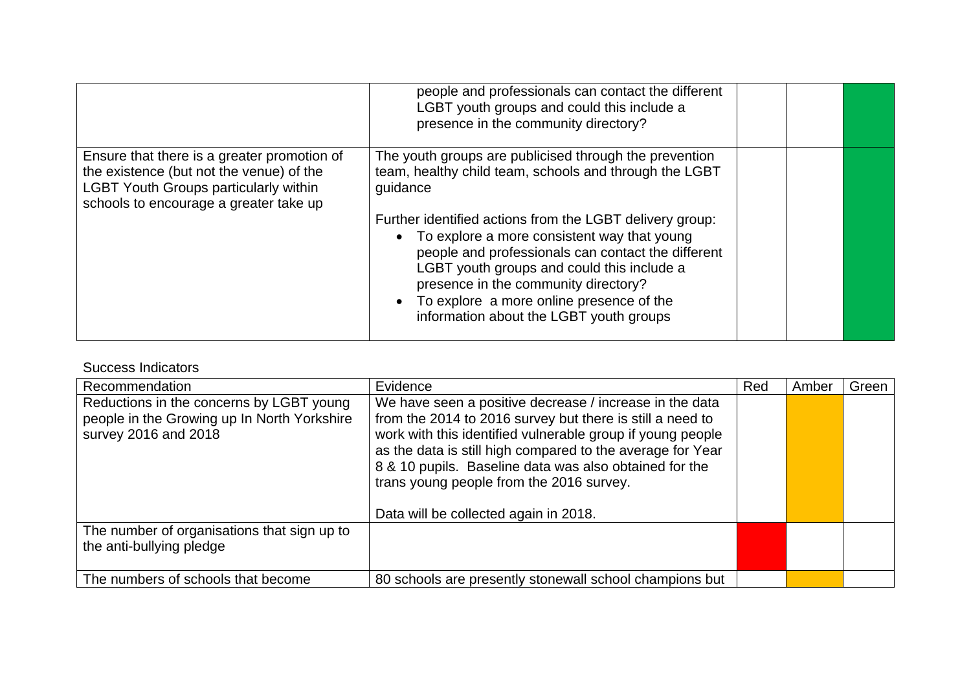|                                                                                                                                                                                   | people and professionals can contact the different<br>LGBT youth groups and could this include a<br>presence in the community directory?                                                                                                                                                                                                                                                                                                                                       |  |  |
|-----------------------------------------------------------------------------------------------------------------------------------------------------------------------------------|--------------------------------------------------------------------------------------------------------------------------------------------------------------------------------------------------------------------------------------------------------------------------------------------------------------------------------------------------------------------------------------------------------------------------------------------------------------------------------|--|--|
| Ensure that there is a greater promotion of<br>the existence (but not the venue) of the<br><b>LGBT Youth Groups particularly within</b><br>schools to encourage a greater take up | The youth groups are publicised through the prevention<br>team, healthy child team, schools and through the LGBT<br>guidance<br>Further identified actions from the LGBT delivery group:<br>• To explore a more consistent way that young<br>people and professionals can contact the different<br>LGBT youth groups and could this include a<br>presence in the community directory?<br>• To explore a more online presence of the<br>information about the LGBT youth groups |  |  |

#### Success Indicators

| Recommendation                                                                                                  | Evidence                                                                                                                                                                                                                                                                                                                                                                                        | Red | Amber | Green |
|-----------------------------------------------------------------------------------------------------------------|-------------------------------------------------------------------------------------------------------------------------------------------------------------------------------------------------------------------------------------------------------------------------------------------------------------------------------------------------------------------------------------------------|-----|-------|-------|
| Reductions in the concerns by LGBT young<br>people in the Growing up In North Yorkshire<br>survey 2016 and 2018 | We have seen a positive decrease / increase in the data<br>from the 2014 to 2016 survey but there is still a need to<br>work with this identified vulnerable group if young people<br>as the data is still high compared to the average for Year<br>8 & 10 pupils. Baseline data was also obtained for the<br>trans young people from the 2016 survey.<br>Data will be collected again in 2018. |     |       |       |
| The number of organisations that sign up to<br>the anti-bullying pledge                                         |                                                                                                                                                                                                                                                                                                                                                                                                 |     |       |       |
| The numbers of schools that become                                                                              | 80 schools are presently stonewall school champions but                                                                                                                                                                                                                                                                                                                                         |     |       |       |